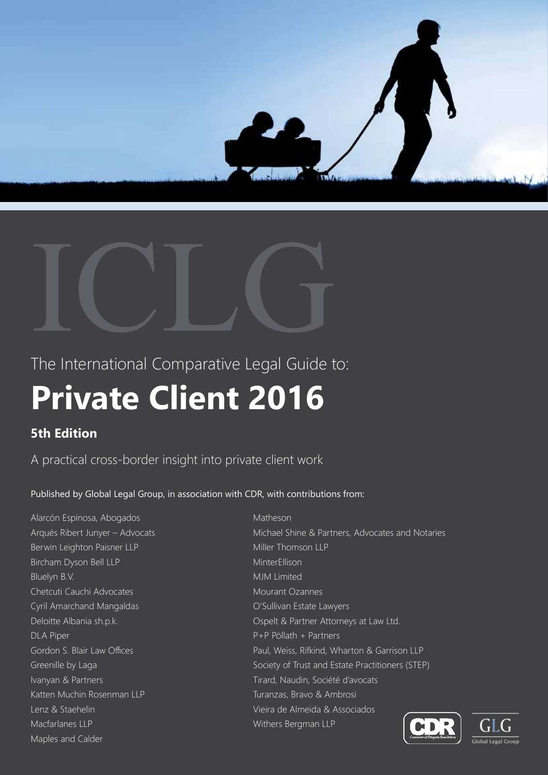



The International Comparative Legal Guide to:

# **Private Client 2016**

# **5th Edition**

A practical cross-border insight into private client work

Published by Global Legal Group, in association with CDR, with contributions from:

Alarcón Espinosa, Abogados Arqués Ribert Junyer – Advocats Berwin Leighton Paisner LLP Bircham Dyson Bell LLP Bluelyn B.V. Chetcuti Cauchi Advocates Cyril Amarchand Mangaldas Deloitte Albania sh.p.k. DLA Piper Gordon S. Blair Law Offices Greenille by Laga Ivanyan & Partners Katten Muchin Rosenman LLP Lenz & Staehelin Macfarlanes LLP Maples and Calder

Matheson Michael Shine & Partners, Advocates and Notaries Miller Thomson LLP MinterEllison MJM Limited Mourant Ozannes O'Sullivan Estate Lawyers Ospelt & Partner Attorneys at Law Ltd. P+P Pöllath + Partners Paul, Weiss, Rifkind, Wharton & Garrison LLP Society of Trust and Estate Practitioners (STEP) Tirard, Naudin, Société d'avocats Turanzas, Bravo & Ambrosi Vieira de Almeida & Associados Withers Bergman LLP



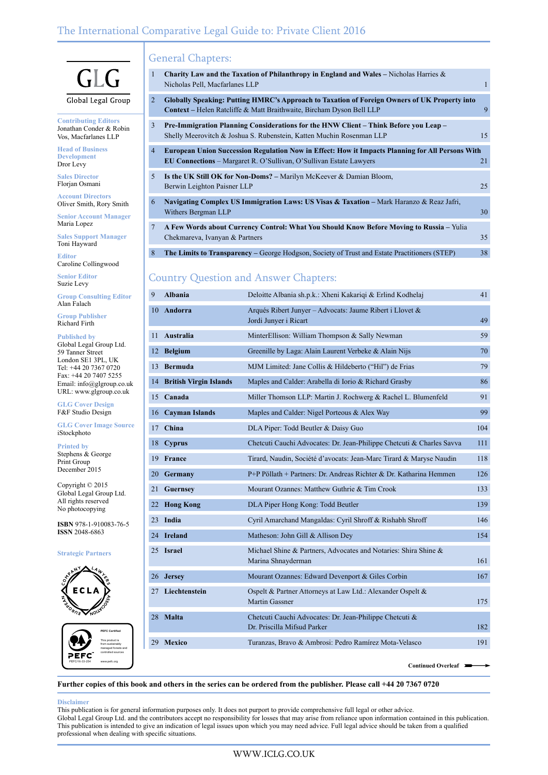## The International Comparative Legal Guide to: Private Client 2016

## General Chapters:

| 1              | <b>Charity Law and the Taxation of Philanthropy in England and Wales – Nicholas Harries &amp;</b><br>Nicholas Pell, Macfarlanes LLP                                           | 1  |
|----------------|-------------------------------------------------------------------------------------------------------------------------------------------------------------------------------|----|
| 2              | Globally Speaking: Putting HMRC's Approach to Taxation of Foreign Owners of UK Property into<br><b>Context</b> – Helen Ratcliffe & Matt Braithwaite, Bircham Dyson Bell LLP   | 9  |
| 3              | Pre-Immigration Planning Considerations for the HNW Client – Think Before you Leap –<br>Shelly Meerovitch & Joshua S. Rubenstein, Katten Muchin Rosenman LLP                  | 15 |
| $\overline{4}$ | European Union Succession Regulation Now in Effect: How it Impacts Planning for All Persons With<br><b>EU Connections</b> – Margaret R. O'Sullivan, O'Sullivan Estate Lawyers | 21 |
| 5              | <b>Is the UK Still OK for Non-Doms?</b> – Marilyn McKeever & Damian Bloom,<br>Berwin Leighton Paisner LLP                                                                     | 25 |
| 6              | Navigating Complex US Immigration Laws: US Visas & Taxation - Mark Haranzo & Reaz Jafri,<br>Withers Bergman LLP                                                               | 30 |
| 7              | A Few Words about Currency Control: What You Should Know Before Moving to Russia – Yulia<br>Chekmareva, Ivanyan & Partners                                                    | 35 |
| 8              | <b>The Limits to Transparency</b> – George Hodgson, Society of Trust and Estate Practitioners (STEP)                                                                          | 38 |

## Country Question and Answer Chapters:

| 9  | <b>Albania</b>                                                  | Deloitte Albania sh.p.k.: Xheni Kakariqi & Erlind Kodhelaj                             |     |  |
|----|-----------------------------------------------------------------|----------------------------------------------------------------------------------------|-----|--|
| 10 | <b>Andorra</b>                                                  | Arqués Ribert Junyer – Advocats: Jaume Ribert i Llovet &<br>Jordi Junyer i Ricart      |     |  |
| 11 | Australia                                                       | MinterEllison: William Thompson & Sally Newman                                         |     |  |
| 12 | <b>Belgium</b>                                                  | Greenille by Laga: Alain Laurent Verbeke & Alain Nijs                                  | 70  |  |
| 13 | <b>Bermuda</b>                                                  | MJM Limited: Jane Collis & Hildeberto ("Hil") de Frias                                 | 79  |  |
| 14 | <b>British Virgin Islands</b>                                   | Maples and Calder: Arabella di Iorio & Richard Grasby                                  | 86  |  |
| 15 | Canada                                                          | Miller Thomson LLP: Martin J. Rochwerg & Rachel L. Blumenfeld                          |     |  |
| 16 | <b>Cayman Islands</b>                                           | Maples and Calder: Nigel Porteous & Alex Way                                           |     |  |
| 17 | China                                                           | DLA Piper: Todd Beutler & Daisy Guo                                                    |     |  |
| 18 | <b>Cyprus</b>                                                   | Chetcuti Cauchi Advocates: Dr. Jean-Philippe Chetcuti & Charles Savva                  |     |  |
| 19 | France                                                          | Tirard, Naudin, Société d'avocats: Jean-Marc Tirard & Maryse Naudin                    |     |  |
| 20 | Germany                                                         | P+P Pöllath + Partners: Dr. Andreas Richter & Dr. Katharina Hemmen                     |     |  |
| 21 | Mourant Ozannes: Matthew Guthrie & Tim Crook<br><b>Guernsey</b> |                                                                                        | 133 |  |
| 22 | DLA Piper Hong Kong: Todd Beutler<br><b>Hong Kong</b>           |                                                                                        | 139 |  |
| 23 | India                                                           | Cyril Amarchand Mangaldas: Cyril Shroff & Rishabh Shroff                               | 146 |  |
| 24 | <b>Ireland</b>                                                  | Matheson: John Gill & Allison Dey                                                      | 154 |  |
| 25 | <b>Israel</b>                                                   | Michael Shine & Partners, Advocates and Notaries: Shira Shine &<br>Marina Shnayderman  | 161 |  |
| 26 | <b>Jersey</b>                                                   | Mourant Ozannes: Edward Devenport & Giles Corbin                                       |     |  |
| 27 | Liechtenstein                                                   | Ospelt & Partner Attorneys at Law Ltd.: Alexander Ospelt &<br>Martin Gassner           | 175 |  |
| 28 | <b>Malta</b>                                                    | Chetcuti Cauchi Advocates: Dr. Jean-Philippe Chetcuti &<br>Dr. Priscilla Mifsud Parker | 182 |  |
| 29 | <b>Mexico</b>                                                   | Turanzas, Bravo & Ambrosi: Pedro Ramírez Mota-Velasco                                  | 191 |  |
|    |                                                                 | Continued Overleaf ■                                                                   |     |  |

**Further copies of this book and others in the series can be ordered from the publisher. Please call +44 20 7367 0720**

#### **Disclaimer**

This publication is for general information purposes only. It does not purport to provide comprehensive full legal or other advice. Global Legal Group Ltd. and the contributors accept no responsibility for losses that may arise from reliance upon information contained in this publication. This publication is intended to give an indication of legal issues upon which you may need advice. Full legal advice should be taken from a qualified professional when dealing with specific situations.

 $\overline{\phantom{a}}$ 

Vos, Macfarlanes LLP **Head of Business** 

 $\mathbf{G}$ 

**Development** Dror Levy

**Sales Director** Florjan Osmani

**Account Directors** Oliver Smith, Rory Smith

**Senior Account Manager** Maria Lopez

**Sales Support Manager** Toni Hayward

**Editor** Caroline Collingwood

**Senior Editor** Suzie Levy

**Group Consulting Editor** Alan Falach

**Group Publisher** Richard Firth

**Published by** Global Legal Group Ltd. 59 Tanner Street London SE1 3PL, UK Tel: +44 20 7367 0720 Fax: +44 20 7407 5255 Email: info@glgroup.co.uk URL: www.glgroup.co.uk

**GLG Cover Design** F&F Studio Design

**GLG Cover Image Source** iStockphoto

**Printed by**

Stephens & George Print Group December 2015

Copyright © 2015 Global Legal Group Ltd. All rights reserved No photocopying

**ISBN** 978-1-910083-76-5 **ISSN** 2048-6863

#### **Strategic Partners**



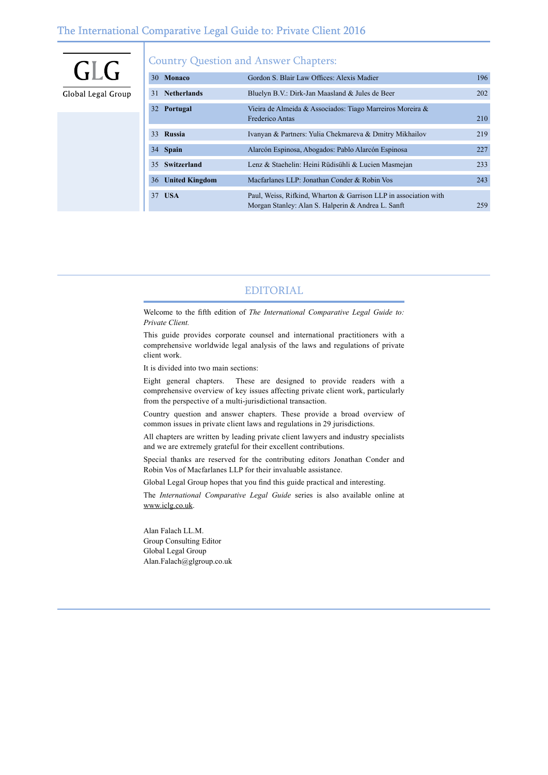## The International Comparative Legal Guide to: Private Client 2016

| GLG                | <b>Country Question and Answer Chapters:</b> |                                                                                                                        |     |  |  |
|--------------------|----------------------------------------------|------------------------------------------------------------------------------------------------------------------------|-----|--|--|
|                    | Monaco<br>30                                 | Gordon S. Blair Law Offices: Alexis Madier                                                                             | 196 |  |  |
| Global Legal Group | <b>Netherlands</b><br>31                     | Bluelyn B.V.: Dirk-Jan Maasland & Jules de Beer                                                                        | 202 |  |  |
|                    | 32 Portugal                                  | Vieira de Almeida & Associados: Tiago Marreiros Moreira &                                                              |     |  |  |
|                    |                                              | Frederico Antas                                                                                                        | 210 |  |  |
|                    | Russia<br>33                                 | Ivanyan & Partners: Yulia Chekmareva & Dmitry Mikhailov                                                                | 219 |  |  |
|                    | 34 Spain                                     | Alarcón Espinosa, Abogados: Pablo Alarcón Espinosa                                                                     | 227 |  |  |
|                    | Switzerland<br>35                            | Lenz & Staehelin: Heini Rüdisühli & Lucien Masmejan                                                                    | 233 |  |  |
|                    | <b>United Kingdom</b><br>36                  | Macfarlanes LLP: Jonathan Conder & Robin Vos                                                                           | 243 |  |  |
|                    | <b>USA</b><br>37                             | Paul, Weiss, Rifkind, Wharton & Garrison LLP in association with<br>Morgan Stanley: Alan S. Halperin & Andrea L. Sanft | 259 |  |  |

## EDITORIAL

Welcome to the fifth edition of *The International Comparative Legal Guide to: Private Client.*

This guide provides corporate counsel and international practitioners with a comprehensive worldwide legal analysis of the laws and regulations of private client work.

It is divided into two main sections:

Eight general chapters. These are designed to provide readers with a comprehensive overview of key issues affecting private client work, particularly from the perspective of a multi-jurisdictional transaction.

Country question and answer chapters. These provide a broad overview of common issues in private client laws and regulations in 29 jurisdictions.

All chapters are written by leading private client lawyers and industry specialists and we are extremely grateful for their excellent contributions.

Special thanks are reserved for the contributing editors Jonathan Conder and Robin Vos of Macfarlanes LLP for their invaluable assistance.

Global Legal Group hopes that you find this guide practical and interesting.

The *International Comparative Legal Guide* series is also available online at www.iclg.co.uk.

Alan Falach LL.M. Group Consulting Editor Global Legal Group Alan.Falach@glgroup.co.uk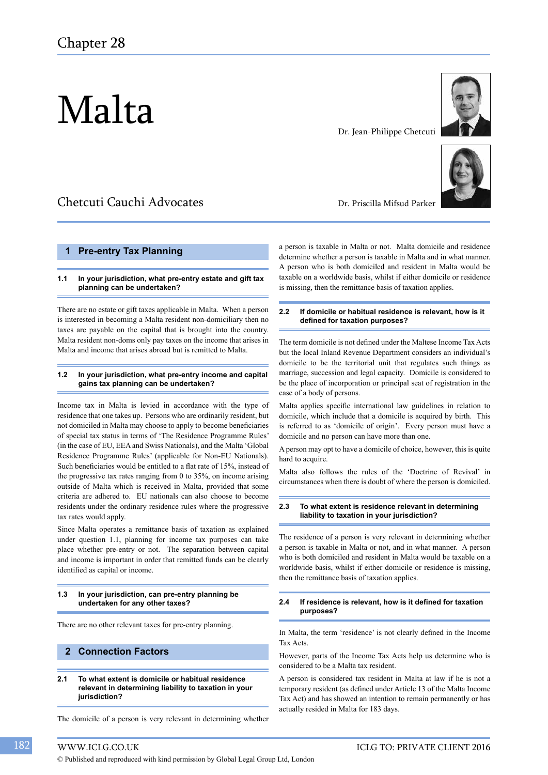# Malta

## Chetcuti Cauchi Advocates

#### **1 Pre-entry Tax Planning**

#### **1.1 In your jurisdiction, what pre-entry estate and gift tax planning can be undertaken?**

There are no estate or gift taxes applicable in Malta. When a person is interested in becoming a Malta resident non-domiciliary then no taxes are payable on the capital that is brought into the country. Malta resident non-doms only pay taxes on the income that arises in Malta and income that arises abroad but is remitted to Malta.

#### **1.2 In your jurisdiction, what pre-entry income and capital gains tax planning can be undertaken?**

Income tax in Malta is levied in accordance with the type of residence that one takes up. Persons who are ordinarily resident, but not domiciled in Malta may choose to apply to become beneficiaries of special tax status in terms of 'The Residence Programme Rules' (in the case of EU, EEA and Swiss Nationals), and the Malta 'Global Residence Programme Rules' (applicable for Non-EU Nationals). Such beneficiaries would be entitled to a flat rate of 15%, instead of the progressive tax rates ranging from 0 to 35%, on income arising outside of Malta which is received in Malta, provided that some criteria are adhered to. EU nationals can also choose to become residents under the ordinary residence rules where the progressive tax rates would apply.

Since Malta operates a remittance basis of taxation as explained under question 1.1, planning for income tax purposes can take place whether pre-entry or not. The separation between capital and income is important in order that remitted funds can be clearly identified as capital or income.

#### **1.3 In your jurisdiction, can pre-entry planning be undertaken for any other taxes?**

There are no other relevant taxes for pre-entry planning.

## **2 Connection Factors**

#### **2.1 To what extent is domicile or habitual residence relevant in determining liability to taxation in your jurisdiction?**

The domicile of a person is very relevant in determining whether

Dr. Priscilla Mifsud Parker

a person is taxable in Malta or not. Malta domicile and residence determine whether a person is taxable in Malta and in what manner. A person who is both domiciled and resident in Malta would be taxable on a worldwide basis, whilst if either domicile or residence is missing, then the remittance basis of taxation applies.

#### **2.2 If domicile or habitual residence is relevant, how is it defined for taxation purposes?**

The term domicile is not defined under the Maltese Income Tax Acts but the local Inland Revenue Department considers an individual's domicile to be the territorial unit that regulates such things as marriage, succession and legal capacity. Domicile is considered to be the place of incorporation or principal seat of registration in the case of a body of persons.

Malta applies specific international law guidelines in relation to domicile, which include that a domicile is acquired by birth. This is referred to as 'domicile of origin'. Every person must have a domicile and no person can have more than one.

A person may opt to have a domicile of choice, however, this is quite hard to acquire.

Malta also follows the rules of the 'Doctrine of Revival' in circumstances when there is doubt of where the person is domiciled.

#### **2.3 To what extent is residence relevant in determining liability to taxation in your jurisdiction?**

The residence of a person is very relevant in determining whether a person is taxable in Malta or not, and in what manner. A person who is both domiciled and resident in Malta would be taxable on a worldwide basis, whilst if either domicile or residence is missing, then the remittance basis of taxation applies.

#### **2.4 If residence is relevant, how is it defined for taxation purposes?**

In Malta, the term 'residence' is not clearly defined in the Income Tax Acts.

However, parts of the Income Tax Acts help us determine who is considered to be a Malta tax resident.

A person is considered tax resident in Malta at law if he is not a temporary resident (as defined under Article 13 of the Malta Income Tax Act) and has showed an intention to remain permanently or has actually resided in Malta for 183 days.



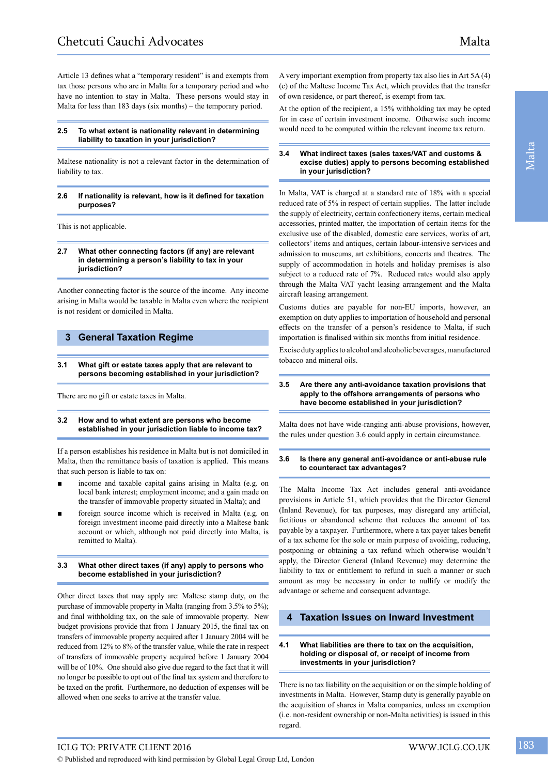Article 13 defines what a "temporary resident" is and exempts from tax those persons who are in Malta for a temporary period and who have no intention to stay in Malta. These persons would stay in Malta for less than 183 days (six months) – the temporary period.

#### **2.5 To what extent is nationality relevant in determining liability to taxation in your jurisdiction?**

Maltese nationality is not a relevant factor in the determination of liability to tax.

#### **2.6 If nationality is relevant, how is it defined for taxation purposes?**

This is not applicable.

#### **2.7 What other connecting factors (if any) are relevant in determining a person's liability to tax in your jurisdiction?**

Another connecting factor is the source of the income. Any income arising in Malta would be taxable in Malta even where the recipient is not resident or domiciled in Malta.

## **3 General Taxation Regime**

#### **3.1 What gift or estate taxes apply that are relevant to persons becoming established in your jurisdiction?**

There are no gift or estate taxes in Malta.

#### **3.2 How and to what extent are persons who become established in your jurisdiction liable to income tax?**

If a person establishes his residence in Malta but is not domiciled in Malta, then the remittance basis of taxation is applied. This means that such person is liable to tax on:

- income and taxable capital gains arising in Malta (e.g. on local bank interest; employment income; and a gain made on the transfer of immovable property situated in Malta); and
- foreign source income which is received in Malta (e.g. on foreign investment income paid directly into a Maltese bank account or which, although not paid directly into Malta, is remitted to Malta).

#### **3.3 What other direct taxes (if any) apply to persons who become established in your jurisdiction?**

Other direct taxes that may apply are: Maltese stamp duty, on the purchase of immovable property in Malta (ranging from 3.5% to 5%); and final withholding tax, on the sale of immovable property. New budget provisions provide that from 1 January 2015, the final tax on transfers of immovable property acquired after 1 January 2004 will be reduced from 12% to 8% of the transfer value, while the rate in respect of transfers of immovable property acquired before 1 January 2004 will be of 10%. One should also give due regard to the fact that it will no longer be possible to opt out of the final tax system and therefore to be taxed on the profit. Furthermore, no deduction of expenses will be allowed when one seeks to arrive at the transfer value.

A very important exemption from property tax also lies in Art 5A (4) (c) of the Maltese Income Tax Act, which provides that the transfer of own residence, or part thereof, is exempt from tax.

At the option of the recipient, a 15% withholding tax may be opted for in case of certain investment income. Otherwise such income would need to be computed within the relevant income tax return.

#### **3.4 What indirect taxes (sales taxes/VAT and customs & excise duties) apply to persons becoming established in your jurisdiction?**

In Malta, VAT is charged at a standard rate of 18% with a special reduced rate of 5% in respect of certain supplies. The latter include the supply of electricity, certain confectionery items, certain medical accessories, printed matter, the importation of certain items for the exclusive use of the disabled, domestic care services, works of art, collectors' items and antiques, certain labour-intensive services and admission to museums, art exhibitions, concerts and theatres. The supply of accommodation in hotels and holiday premises is also subject to a reduced rate of 7%. Reduced rates would also apply through the Malta VAT yacht leasing arrangement and the Malta aircraft leasing arrangement.

Customs duties are payable for non-EU imports, however, an exemption on duty applies to importation of household and personal effects on the transfer of a person's residence to Malta, if such importation is finalised within six months from initial residence.

Excise duty applies to alcohol and alcoholic beverages, manufactured tobacco and mineral oils.

#### **3.5 Are there any anti-avoidance taxation provisions that apply to the offshore arrangements of persons who have become established in your jurisdiction?**

Malta does not have wide-ranging anti-abuse provisions, however, the rules under question 3.6 could apply in certain circumstance.

#### **3.6 Is there any general anti-avoidance or anti-abuse rule to counteract tax advantages?**

The Malta Income Tax Act includes general anti-avoidance provisions in Article 51, which provides that the Director General (Inland Revenue), for tax purposes, may disregard any artificial, fictitious or abandoned scheme that reduces the amount of tax payable by a taxpayer. Furthermore, where a tax payer takes benefit of a tax scheme for the sole or main purpose of avoiding, reducing, postponing or obtaining a tax refund which otherwise wouldn't apply, the Director General (Inland Revenue) may determine the liability to tax or entitlement to refund in such a manner or such amount as may be necessary in order to nullify or modify the advantage or scheme and consequent advantage.

## **4 Taxation Issues on Inward Investment**

#### **4.1 What liabilities are there to tax on the acquisition, holding or disposal of, or receipt of income from investments in your jurisdiction?**

There is no tax liability on the acquisition or on the simple holding of investments in Malta. However, Stamp duty is generally payable on the acquisition of shares in Malta companies, unless an exemption (i.e. non-resident ownership or non-Malta activities) is issued in this regard.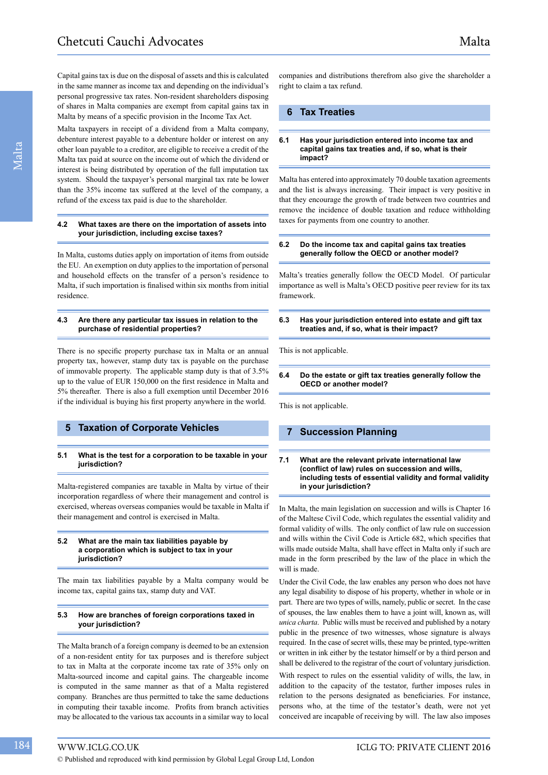Capital gains tax is due on the disposal of assets and this is calculated in the same manner as income tax and depending on the individual's personal progressive tax rates. Non-resident shareholders disposing of shares in Malta companies are exempt from capital gains tax in Malta by means of a specific provision in the Income Tax Act.

Malta taxpayers in receipt of a dividend from a Malta company, debenture interest payable to a debenture holder or interest on any other loan payable to a creditor, are eligible to receive a credit of the Malta tax paid at source on the income out of which the dividend or interest is being distributed by operation of the full imputation tax system. Should the taxpayer's personal marginal tax rate be lower than the 35% income tax suffered at the level of the company, a refund of the excess tax paid is due to the shareholder.

#### **4.2 What taxes are there on the importation of assets into your jurisdiction, including excise taxes?**

In Malta, customs duties apply on importation of items from outside the EU. An exemption on duty applies to the importation of personal and household effects on the transfer of a person's residence to Malta, if such importation is finalised within six months from initial residence.

#### **4.3 Are there any particular tax issues in relation to the purchase of residential properties?**

There is no specific property purchase tax in Malta or an annual property tax, however, stamp duty tax is payable on the purchase of immovable property. The applicable stamp duty is that of 3.5% up to the value of EUR 150,000 on the first residence in Malta and 5% thereafter. There is also a full exemption until December 2016 if the individual is buying his first property anywhere in the world.

## **5 Taxation of Corporate Vehicles**

#### **5.1 What is the test for a corporation to be taxable in your jurisdiction?**

Malta-registered companies are taxable in Malta by virtue of their incorporation regardless of where their management and control is exercised, whereas overseas companies would be taxable in Malta if their management and control is exercised in Malta.

#### **5.2 What are the main tax liabilities payable by a corporation which is subject to tax in your jurisdiction?**

The main tax liabilities payable by a Malta company would be income tax, capital gains tax, stamp duty and VAT.

#### **5.3 How are branches of foreign corporations taxed in your jurisdiction?**

The Malta branch of a foreign company is deemed to be an extension of a non-resident entity for tax purposes and is therefore subject to tax in Malta at the corporate income tax rate of 35% only on Malta-sourced income and capital gains. The chargeable income is computed in the same manner as that of a Malta registered company. Branches are thus permitted to take the same deductions in computing their taxable income. Profits from branch activities may be allocated to the various tax accounts in a similar way to local

© Published and reproduced with kind permission by Global Legal Group Ltd, London

## **6 Tax Treaties**

#### **6.1 Has your jurisdiction entered into income tax and capital gains tax treaties and, if so, what is their impact?**

Malta has entered into approximately 70 double taxation agreements and the list is always increasing. Their impact is very positive in that they encourage the growth of trade between two countries and remove the incidence of double taxation and reduce withholding taxes for payments from one country to another.

#### **6.2 Do the income tax and capital gains tax treaties generally follow the OECD or another model?**

Malta's treaties generally follow the OECD Model. Of particular importance as well is Malta's OECD positive peer review for its tax framework.

#### **6.3 Has your jurisdiction entered into estate and gift tax treaties and, if so, what is their impact?**

This is not applicable.

#### **6.4 Do the estate or gift tax treaties generally follow the OECD or another model?**

This is not applicable.

## **7 Succession Planning**

#### **7.1 What are the relevant private international law (conflict of law) rules on succession and wills, including tests of essential validity and formal validity in your jurisdiction?**

In Malta, the main legislation on succession and wills is Chapter 16 of the Maltese Civil Code, which regulates the essential validity and formal validity of wills. The only conflict of law rule on succession and wills within the Civil Code is Article 682, which specifies that wills made outside Malta, shall have effect in Malta only if such are made in the form prescribed by the law of the place in which the will is made.

Under the Civil Code, the law enables any person who does not have any legal disability to dispose of his property, whether in whole or in part. There are two types of wills, namely, public or secret. In the case of spouses, the law enables them to have a joint will, known as, will *unica charta*. Public wills must be received and published by a notary public in the presence of two witnesses, whose signature is always required. In the case of secret wills, these may be printed, type-written or written in ink either by the testator himself or by a third person and shall be delivered to the registrar of the court of voluntary jurisdiction.

With respect to rules on the essential validity of wills, the law, in addition to the capacity of the testator, further imposes rules in relation to the persons designated as beneficiaries. For instance, persons who, at the time of the testator's death, were not yet conceived are incapable of receiving by will. The law also imposes

Malta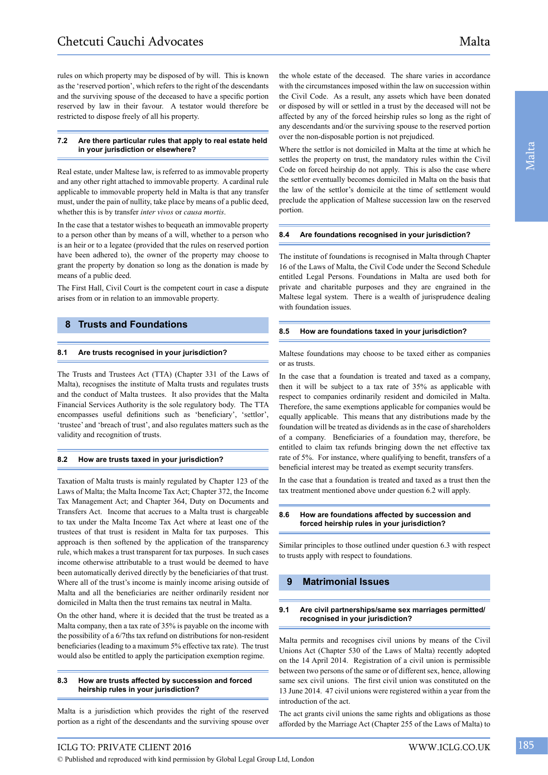rules on which property may be disposed of by will. This is known as the 'reserved portion', which refers to the right of the descendants and the surviving spouse of the deceased to have a specific portion reserved by law in their favour. A testator would therefore be restricted to dispose freely of all his property.

#### **7.2 Are there particular rules that apply to real estate held in your jurisdiction or elsewhere?**

Real estate, under Maltese law, is referred to as immovable property and any other right attached to immovable property. A cardinal rule applicable to immovable property held in Malta is that any transfer must, under the pain of nullity, take place by means of a public deed, whether this is by transfer *inter vivos* or *causa mortis*.

In the case that a testator wishes to bequeath an immovable property to a person other than by means of a will, whether to a person who is an heir or to a legatee (provided that the rules on reserved portion have been adhered to), the owner of the property may choose to grant the property by donation so long as the donation is made by means of a public deed.

The First Hall, Civil Court is the competent court in case a dispute arises from or in relation to an immovable property.

## **8 Trusts and Foundations**

#### **8.1 Are trusts recognised in your jurisdiction?**

The Trusts and Trustees Act (TTA) (Chapter 331 of the Laws of Malta), recognises the institute of Malta trusts and regulates trusts and the conduct of Malta trustees. It also provides that the Malta Financial Services Authority is the sole regulatory body. The TTA encompasses useful definitions such as 'beneficiary', 'settlor', 'trustee' and 'breach of trust', and also regulates matters such as the validity and recognition of trusts.

#### **8.2 How are trusts taxed in your jurisdiction?**

Taxation of Malta trusts is mainly regulated by Chapter 123 of the Laws of Malta; the Malta Income Tax Act; Chapter 372, the Income Tax Management Act; and Chapter 364, Duty on Documents and Transfers Act. Income that accrues to a Malta trust is chargeable to tax under the Malta Income Tax Act where at least one of the trustees of that trust is resident in Malta for tax purposes. This approach is then softened by the application of the transparency rule, which makes a trust transparent for tax purposes. In such cases income otherwise attributable to a trust would be deemed to have been automatically derived directly by the beneficiaries of that trust. Where all of the trust's income is mainly income arising outside of Malta and all the beneficiaries are neither ordinarily resident nor domiciled in Malta then the trust remains tax neutral in Malta.

On the other hand, where it is decided that the trust be treated as a Malta company, then a tax rate of 35% is payable on the income with the possibility of a 6/7ths tax refund on distributions for non-resident beneficiaries (leading to a maximum 5% effective tax rate). The trust would also be entitled to apply the participation exemption regime.

#### **8.3 How are trusts affected by succession and forced heirship rules in your jurisdiction?**

Malta is a jurisdiction which provides the right of the reserved portion as a right of the descendants and the surviving spouse over

the whole estate of the deceased. The share varies in accordance with the circumstances imposed within the law on succession within the Civil Code. As a result, any assets which have been donated or disposed by will or settled in a trust by the deceased will not be affected by any of the forced heirship rules so long as the right of any descendants and/or the surviving spouse to the reserved portion over the non-disposable portion is not prejudiced.

Where the settlor is not domiciled in Malta at the time at which he settles the property on trust, the mandatory rules within the Civil Code on forced heirship do not apply. This is also the case where the settlor eventually becomes domiciled in Malta on the basis that the law of the settlor's domicile at the time of settlement would preclude the application of Maltese succession law on the reserved portion.

#### **8.4 Are foundations recognised in your jurisdiction?**

The institute of foundations is recognised in Malta through Chapter 16 of the Laws of Malta, the Civil Code under the Second Schedule entitled Legal Persons. Foundations in Malta are used both for private and charitable purposes and they are engrained in the Maltese legal system. There is a wealth of jurisprudence dealing with foundation issues.

#### **8.5 How are foundations taxed in your jurisdiction?**

Maltese foundations may choose to be taxed either as companies or as trusts.

In the case that a foundation is treated and taxed as a company, then it will be subject to a tax rate of 35% as applicable with respect to companies ordinarily resident and domiciled in Malta. Therefore, the same exemptions applicable for companies would be equally applicable. This means that any distributions made by the foundation will be treated as dividends as in the case of shareholders of a company. Beneficiaries of a foundation may, therefore, be entitled to claim tax refunds bringing down the net effective tax rate of 5%. For instance, where qualifying to benefit, transfers of a beneficial interest may be treated as exempt security transfers.

In the case that a foundation is treated and taxed as a trust then the tax treatment mentioned above under question 6.2 will apply.

#### **8.6 How are foundations affected by succession and forced heirship rules in your jurisdiction?**

Similar principles to those outlined under question 6.3 with respect to trusts apply with respect to foundations.

## **9 Matrimonial Issues**

#### **9.1 Are civil partnerships/same sex marriages permitted/ recognised in your jurisdiction?**

Malta permits and recognises civil unions by means of the Civil Unions Act (Chapter 530 of the Laws of Malta) recently adopted on the 14 April 2014. Registration of a civil union is permissible between two persons of the same or of different sex, hence, allowing same sex civil unions. The first civil union was constituted on the 13 June 2014. 47 civil unions were registered within a year from the introduction of the act.

The act grants civil unions the same rights and obligations as those afforded by the Marriage Act (Chapter 255 of the Laws of Malta) to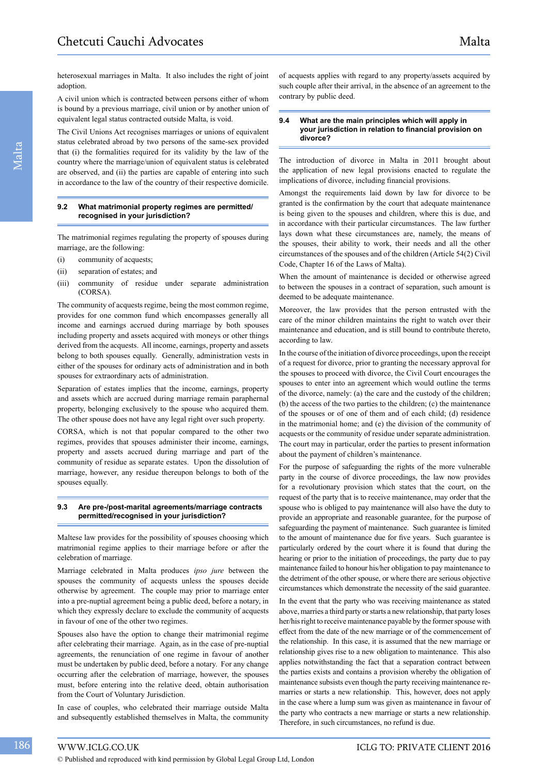heterosexual marriages in Malta. It also includes the right of joint adoption.

A civil union which is contracted between persons either of whom is bound by a previous marriage, civil union or by another union of equivalent legal status contracted outside Malta, is void.

The Civil Unions Act recognises marriages or unions of equivalent status celebrated abroad by two persons of the same-sex provided that (i) the formalities required for its validity by the law of the country where the marriage/union of equivalent status is celebrated are observed, and (ii) the parties are capable of entering into such in accordance to the law of the country of their respective domicile.

#### **9.2 What matrimonial property regimes are permitted/ recognised in your jurisdiction?**

The matrimonial regimes regulating the property of spouses during marriage, are the following:

- (i) community of acquests;
- (ii) separation of estates; and
- (iii) community of residue under separate administration (CORSA).

The community of acquests regime, being the most common regime, provides for one common fund which encompasses generally all income and earnings accrued during marriage by both spouses including property and assets acquired with moneys or other things derived from the acquests. All income, earnings, property and assets belong to both spouses equally. Generally, administration vests in either of the spouses for ordinary acts of administration and in both spouses for extraordinary acts of administration.

Separation of estates implies that the income, earnings, property and assets which are accrued during marriage remain paraphernal property, belonging exclusively to the spouse who acquired them. The other spouse does not have any legal right over such property.

CORSA, which is not that popular compared to the other two regimes, provides that spouses administer their income, earnings, property and assets accrued during marriage and part of the community of residue as separate estates. Upon the dissolution of marriage, however, any residue thereupon belongs to both of the spouses equally.

#### **9.3 Are pre-/post-marital agreements/marriage contracts permitted/recognised in your jurisdiction?**

Maltese law provides for the possibility of spouses choosing which matrimonial regime applies to their marriage before or after the celebration of marriage.

Marriage celebrated in Malta produces *ipso jure* between the spouses the community of acquests unless the spouses decide otherwise by agreement. The couple may prior to marriage enter into a pre-nuptial agreement being a public deed, before a notary, in which they expressly declare to exclude the community of acquests in favour of one of the other two regimes.

Spouses also have the option to change their matrimonial regime after celebrating their marriage. Again, as in the case of pre-nuptial agreements, the renunciation of one regime in favour of another must be undertaken by public deed, before a notary. For any change occurring after the celebration of marriage, however, the spouses must, before entering into the relative deed, obtain authorisation from the Court of Voluntary Jurisdiction.

In case of couples, who celebrated their marriage outside Malta and subsequently established themselves in Malta, the community of acquests applies with regard to any property/assets acquired by such couple after their arrival, in the absence of an agreement to the contrary by public deed.

#### **9.4 What are the main principles which will apply in your jurisdiction in relation to financial provision on divorce?**

The introduction of divorce in Malta in 2011 brought about the application of new legal provisions enacted to regulate the implications of divorce, including financial provisions.

Amongst the requirements laid down by law for divorce to be granted is the confirmation by the court that adequate maintenance is being given to the spouses and children, where this is due, and in accordance with their particular circumstances. The law further lays down what these circumstances are, namely, the means of the spouses, their ability to work, their needs and all the other circumstances of the spouses and of the children (Article 54(2) Civil Code, Chapter 16 of the Laws of Malta).

When the amount of maintenance is decided or otherwise agreed to between the spouses in a contract of separation, such amount is deemed to be adequate maintenance.

Moreover, the law provides that the person entrusted with the care of the minor children maintains the right to watch over their maintenance and education, and is still bound to contribute thereto, according to law.

In the course of the initiation of divorce proceedings, upon the receipt of a request for divorce, prior to granting the necessary approval for the spouses to proceed with divorce, the Civil Court encourages the spouses to enter into an agreement which would outline the terms of the divorce, namely: (a) the care and the custody of the children; (b) the access of the two parties to the children; (c) the maintenance of the spouses or of one of them and of each child; (d) residence in the matrimonial home; and (e) the division of the community of acquests or the community of residue under separate administration. The court may in particular, order the parties to present information about the payment of children's maintenance.

For the purpose of safeguarding the rights of the more vulnerable party in the course of divorce proceedings, the law now provides for a revolutionary provision which states that the court, on the request of the party that is to receive maintenance, may order that the spouse who is obliged to pay maintenance will also have the duty to provide an appropriate and reasonable guarantee, for the purpose of safeguarding the payment of maintenance. Such guarantee is limited to the amount of maintenance due for five years. Such guarantee is particularly ordered by the court where it is found that during the hearing or prior to the initiation of proceedings, the party due to pay maintenance failed to honour his/her obligation to pay maintenance to the detriment of the other spouse, or where there are serious objective circumstances which demonstrate the necessity of the said guarantee.

In the event that the party who was receiving maintenance as stated above, marries a third party or starts a new relationship, that party loses her/his right to receive maintenance payable by the former spouse with effect from the date of the new marriage or of the commencement of the relationship. In this case, it is assumed that the new marriage or relationship gives rise to a new obligation to maintenance. This also applies notwithstanding the fact that a separation contract between the parties exists and contains a provision whereby the obligation of maintenance subsists even though the party receiving maintenance remarries or starts a new relationship. This, however, does not apply in the case where a lump sum was given as maintenance in favour of the party who contracts a new marriage or starts a new relationship. Therefore, in such circumstances, no refund is due.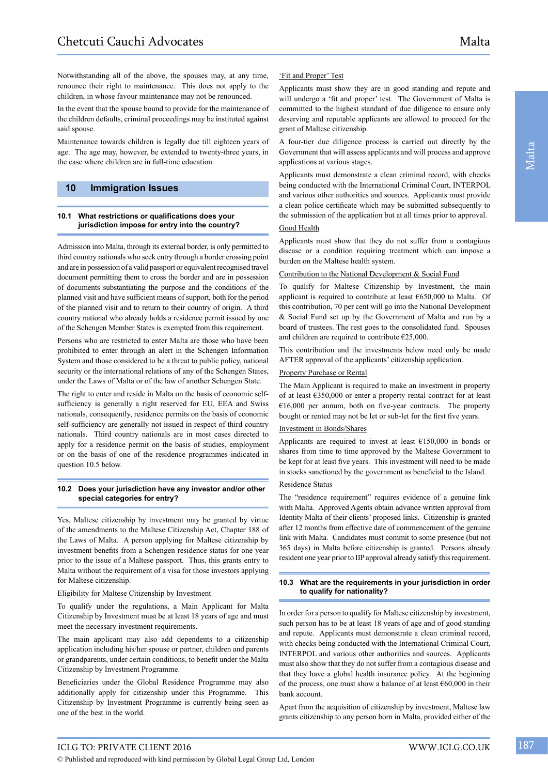Notwithstanding all of the above, the spouses may, at any time, renounce their right to maintenance. This does not apply to the children, in whose favour maintenance may not be renounced.

In the event that the spouse bound to provide for the maintenance of the children defaults, criminal proceedings may be instituted against said spouse.

Maintenance towards children is legally due till eighteen years of age. The age may, however, be extended to twenty-three years, in the case where children are in full-time education.

## **10 Immigration Issues**

#### **10.1 What restrictions or qualifications does your jurisdiction impose for entry into the country?**

Admission into Malta, through its external border, is only permitted to third country nationals who seek entry through a border crossing point and are in possession of a valid passport or equivalent recognised travel document permitting them to cross the border and are in possession of documents substantiating the purpose and the conditions of the planned visit and have sufficient means of support, both for the period of the planned visit and to return to their country of origin. A third country national who already holds a residence permit issued by one of the Schengen Member States is exempted from this requirement.

Persons who are restricted to enter Malta are those who have been prohibited to enter through an alert in the Schengen Information System and those considered to be a threat to public policy, national security or the international relations of any of the Schengen States, under the Laws of Malta or of the law of another Schengen State.

The right to enter and reside in Malta on the basis of economic selfsufficiency is generally a right reserved for EU, EEA and Swiss nationals, consequently, residence permits on the basis of economic self-sufficiency are generally not issued in respect of third country nationals. Third country nationals are in most cases directed to apply for a residence permit on the basis of studies, employment or on the basis of one of the residence programmes indicated in question 10.5 below.

#### **10.2 Does your jurisdiction have any investor and/or other special categories for entry?**

Yes, Maltese citizenship by investment may be granted by virtue of the amendments to the Maltese Citizenship Act, Chapter 188 of the Laws of Malta. A person applying for Maltese citizenship by investment benefits from a Schengen residence status for one year prior to the issue of a Maltese passport. Thus, this grants entry to Malta without the requirement of a visa for those investors applying for Maltese citizenship.

#### Eligibility for Maltese Citizenship by Investment

To qualify under the regulations, a Main Applicant for Malta Citizenship by Investment must be at least 18 years of age and must meet the necessary investment requirements.

The main applicant may also add dependents to a citizenship application including his/her spouse or partner, children and parents or grandparents, under certain conditions, to benefit under the Malta Citizenship by Investment Programme.

Beneficiaries under the Global Residence Programme may also additionally apply for citizenship under this Programme. This Citizenship by Investment Programme is currently being seen as one of the best in the world.

### 'Fit and Proper' Test

Applicants must show they are in good standing and repute and will undergo a 'fit and proper' test. The Government of Malta is committed to the highest standard of due diligence to ensure only deserving and reputable applicants are allowed to proceed for the grant of Maltese citizenship.

A four-tier due diligence process is carried out directly by the Government that will assess applicants and will process and approve applications at various stages.

Applicants must demonstrate a clean criminal record, with checks being conducted with the International Criminal Court, INTERPOL and various other authorities and sources. Applicants must provide a clean police certificate which may be submitted subsequently to the submission of the application but at all times prior to approval.

#### Good Health

Applicants must show that they do not suffer from a contagious disease or a condition requiring treatment which can impose a burden on the Maltese health system.

#### Contribution to the National Development & Social Fund

To qualify for Maltese Citizenship by Investment, the main applicant is required to contribute at least €650,000 to Malta. Of this contribution, 70 per cent will go into the National Development & Social Fund set up by the Government of Malta and run by a board of trustees. The rest goes to the consolidated fund. Spouses and children are required to contribute €25,000.

This contribution and the investments below need only be made AFTER approval of the applicants' citizenship application.

#### Property Purchase or Rental

The Main Applicant is required to make an investment in property of at least €350,000 or enter a property rental contract for at least  $€16,000$  per annum, both on five-year contracts. The property bought or rented may not be let or sub-let for the first five years.

#### Investment in Bonds/Shares

Applicants are required to invest at least €150,000 in bonds or shares from time to time approved by the Maltese Government to be kept for at least five years. This investment will need to be made in stocks sanctioned by the government as beneficial to the Island.

#### Residence Status

The "residence requirement" requires evidence of a genuine link with Malta. Approved Agents obtain advance written approval from Identity Malta of their clients' proposed links. Citizenship is granted after 12 months from effective date of commencement of the genuine link with Malta. Candidates must commit to some presence (but not 365 days) in Malta before citizenship is granted. Persons already resident one year prior to IIP approval already satisfy this requirement.

#### **10.3 What are the requirements in your jurisdiction in order to qualify for nationality?**

In order for a person to qualify for Maltese citizenship by investment, such person has to be at least 18 years of age and of good standing and repute. Applicants must demonstrate a clean criminal record, with checks being conducted with the International Criminal Court, INTERPOL and various other authorities and sources. Applicants must also show that they do not suffer from a contagious disease and that they have a global health insurance policy. At the beginning of the process, one must show a balance of at least €60,000 in their bank account.

Apart from the acquisition of citizenship by investment, Maltese law grants citizenship to any person born in Malta, provided either of the

ICLG TO: PRIVATE CLIENT 2016 WWW.ICLG.CO.UK 187

© Published and reproduced with kind permission by Global Legal Group Ltd, London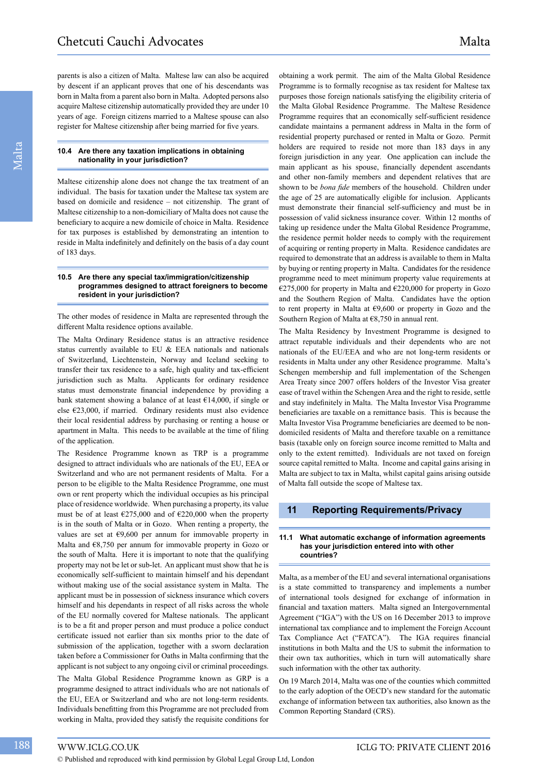parents is also a citizen of Malta. Maltese law can also be acquired by descent if an applicant proves that one of his descendants was born in Malta from a parent also born in Malta. Adopted persons also acquire Maltese citizenship automatically provided they are under 10 years of age. Foreign citizens married to a Maltese spouse can also register for Maltese citizenship after being married for five years.

#### **10.4 Are there any taxation implications in obtaining nationality in your jurisdiction?**

Maltese citizenship alone does not change the tax treatment of an individual. The basis for taxation under the Maltese tax system are based on domicile and residence – not citizenship. The grant of Maltese citizenship to a non-domiciliary of Malta does not cause the beneficiary to acquire a new domicile of choice in Malta. Residence for tax purposes is established by demonstrating an intention to reside in Malta indefinitely and definitely on the basis of a day count of 183 days.

#### **10.5 Are there any special tax/immigration/citizenship programmes designed to attract foreigners to become resident in your jurisdiction?**

The other modes of residence in Malta are represented through the different Malta residence options available.

The Malta Ordinary Residence status is an attractive residence status currently available to EU & EEA nationals and nationals of Switzerland, Liechtenstein, Norway and Iceland seeking to transfer their tax residence to a safe, high quality and tax-efficient jurisdiction such as Malta. Applicants for ordinary residence status must demonstrate financial independence by providing a bank statement showing a balance of at least  $E14,000$ , if single or else €23,000, if married. Ordinary residents must also evidence their local residential address by purchasing or renting a house or apartment in Malta. This needs to be available at the time of filing of the application.

The Residence Programme known as TRP is a programme designed to attract individuals who are nationals of the EU, EEA or Switzerland and who are not permanent residents of Malta. For a person to be eligible to the Malta Residence Programme, one must own or rent property which the individual occupies as his principal place of residence worldwide. When purchasing a property, its value must be of at least  $\epsilon$ 275,000 and of  $\epsilon$ 220,000 when the property is in the south of Malta or in Gozo. When renting a property, the values are set at €9,600 per annum for immovable property in Malta and €8,750 per annum for immovable property in Gozo or the south of Malta. Here it is important to note that the qualifying property may not be let or sub-let. An applicant must show that he is economically self-sufficient to maintain himself and his dependant without making use of the social assistance system in Malta. The applicant must be in possession of sickness insurance which covers himself and his dependants in respect of all risks across the whole of the EU normally covered for Maltese nationals. The applicant is to be a fit and proper person and must produce a police conduct certificate issued not earlier than six months prior to the date of submission of the application, together with a sworn declaration taken before a Commissioner for Oaths in Malta confirming that the applicant is not subject to any ongoing civil or criminal proceedings.

The Malta Global Residence Programme known as GRP is a programme designed to attract individuals who are not nationals of the EU, EEA or Switzerland and who are not long-term residents. Individuals benefitting from this Programme are not precluded from working in Malta, provided they satisfy the requisite conditions for

obtaining a work permit. The aim of the Malta Global Residence Programme is to formally recognise as tax resident for Maltese tax purposes those foreign nationals satisfying the eligibility criteria of the Malta Global Residence Programme. The Maltese Residence Programme requires that an economically self-sufficient residence candidate maintains a permanent address in Malta in the form of residential property purchased or rented in Malta or Gozo. Permit holders are required to reside not more than 183 days in any foreign jurisdiction in any year. One application can include the main applicant as his spouse, financially dependent ascendants and other non-family members and dependent relatives that are shown to be *bona fide* members of the household. Children under the age of 25 are automatically eligible for inclusion. Applicants must demonstrate their financial self-sufficiency and must be in possession of valid sickness insurance cover. Within 12 months of taking up residence under the Malta Global Residence Programme, the residence permit holder needs to comply with the requirement of acquiring or renting property in Malta. Residence candidates are required to demonstrate that an address is available to them in Malta by buying or renting property in Malta. Candidates for the residence programme need to meet minimum property value requirements at  $E$ 275,000 for property in Malta and  $E$ 220,000 for property in Gozo and the Southern Region of Malta. Candidates have the option to rent property in Malta at €9,600 or property in Gozo and the Southern Region of Malta at €8,750 in annual rent.

The Malta Residency by Investment Programme is designed to attract reputable individuals and their dependents who are not nationals of the EU/EEA and who are not long-term residents or residents in Malta under any other Residence programme. Malta's Schengen membership and full implementation of the Schengen Area Treaty since 2007 offers holders of the Investor Visa greater ease of travel within the Schengen Area and the right to reside, settle and stay indefinitely in Malta. The Malta Investor Visa Programme beneficiaries are taxable on a remittance basis. This is because the Malta Investor Visa Programme beneficiaries are deemed to be nondomiciled residents of Malta and therefore taxable on a remittance basis (taxable only on foreign source income remitted to Malta and only to the extent remitted). Individuals are not taxed on foreign source capital remitted to Malta. Income and capital gains arising in Malta are subject to tax in Malta, whilst capital gains arising outside of Malta fall outside the scope of Maltese tax.

#### **11 Reporting Requirements/Privacy**

#### **11.1 What automatic exchange of information agreements has your jurisdiction entered into with other countries?**

Malta, as a member of the EU and several international organisations is a state committed to transparency and implements a number of international tools designed for exchange of information in financial and taxation matters. Malta signed an Intergovernmental Agreement ("IGA") with the US on 16 December 2013 to improve international tax compliance and to implement the Foreign Account Tax Compliance Act ("FATCA"). The IGA requires financial institutions in both Malta and the US to submit the information to their own tax authorities, which in turn will automatically share such information with the other tax authority.

On 19 March 2014, Malta was one of the counties which committed to the early adoption of the OECD's new standard for the automatic exchange of information between tax authorities, also known as the Common Reporting Standard (CRS).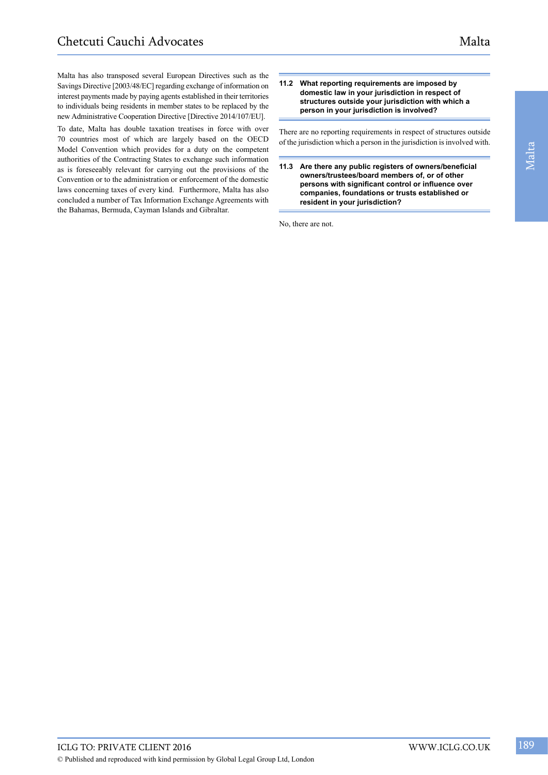Malta has also transposed several European Directives such as the Savings Directive [2003/48/EC] regarding exchange of information on interest payments made by paying agents established in their territories to individuals being residents in member states to be replaced by the new Administrative Cooperation Directive [Directive 2014/107/EU].

To date, Malta has double taxation treatises in force with over 70 countries most of which are largely based on the OECD Model Convention which provides for a duty on the competent authorities of the Contracting States to exchange such information as is foreseeably relevant for carrying out the provisions of the Convention or to the administration or enforcement of the domestic laws concerning taxes of every kind. Furthermore, Malta has also concluded a number of Tax Information Exchange Agreements with the Bahamas, Bermuda, Cayman Islands and Gibraltar.

#### **11.2 What reporting requirements are imposed by domestic law in your jurisdiction in respect of structures outside your jurisdiction with which a person in your jurisdiction is involved?**

There are no reporting requirements in respect of structures outside of the jurisdiction which a person in the jurisdiction is involved with.

**11.3 Are there any public registers of owners/beneficial owners/trustees/board members of, or of other persons with significant control or influence over companies, foundations or trusts established or resident in your jurisdiction?**

No, there are not.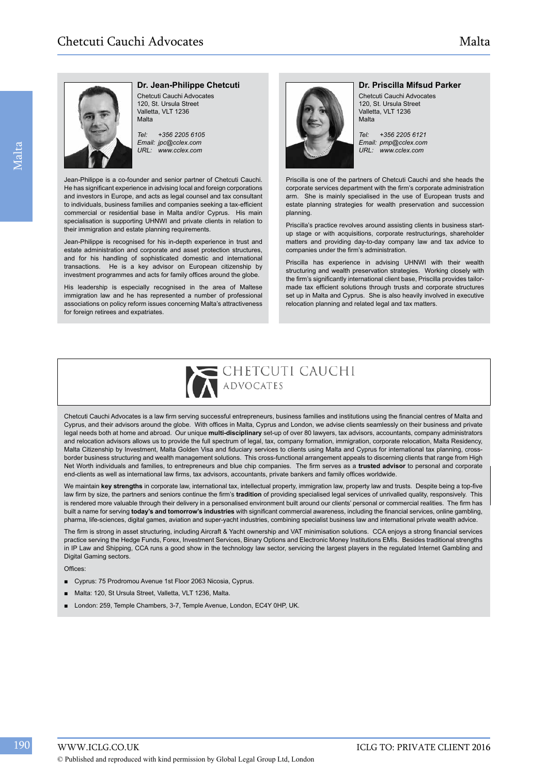## **Dr. Jean-Philippe Chetcuti**

Chetcuti Cauchi Advocates 120, St. Ursula Street Valletta, VLT 1236 Malta

*Tel: +356 2205 6105 Email: jpc@cclex.com URL: www.cclex.com*

Jean-Philippe is a co-founder and senior partner of Chetcuti Cauchi. He has significant experience in advising local and foreign corporations and investors in Europe, and acts as legal counsel and tax consultant to individuals, business families and companies seeking a tax-efficient commercial or residential base in Malta and/or Cyprus. His main specialisation is supporting UHNWI and private clients in relation to their immigration and estate planning requirements.

Jean-Philippe is recognised for his in-depth experience in trust and estate administration and corporate and asset protection structures, and for his handling of sophisticated domestic and international transactions. He is a key advisor on European citizenship by investment programmes and acts for family offices around the globe.

His leadership is especially recognised in the area of Maltese immigration law and he has represented a number of professional associations on policy reform issues concerning Malta's attractiveness for foreign retirees and expatriates.



#### **Dr. Priscilla Mifsud Parker**

Chetcuti Cauchi Advocates 120, St. Ursula Street Valletta, VLT 1236 Malta

*Tel: +356 2205 6121 Email: pmp@cclex.com URL: www.cclex.com*

Priscilla is one of the partners of Chetcuti Cauchi and she heads the corporate services department with the firm's corporate administration arm. She is mainly specialised in the use of European trusts and estate planning strategies for wealth preservation and succession planning.

Priscilla's practice revolves around assisting clients in business startup stage or with acquisitions, corporate restructurings, shareholder matters and providing day-to-day company law and tax advice to companies under the firm's administration.

Priscilla has experience in advising UHNWI with their wealth structuring and wealth preservation strategies. Working closely with the firm's significantly international client base, Priscilla provides tailormade tax efficient solutions through trusts and corporate structures set up in Malta and Cyprus. She is also heavily involved in executive relocation planning and related legal and tax matters.



Chetcuti Cauchi Advocates is a law firm serving successful entrepreneurs, business families and institutions using the financial centres of Malta and Cyprus, and their advisors around the globe. With offices in Malta, Cyprus and London, we advise clients seamlessly on their business and private legal needs both at home and abroad. Our unique **multi-disciplinary** set-up of over 80 lawyers, tax advisors, accountants, company administrators and relocation advisors allows us to provide the full spectrum of legal, tax, company formation, immigration, corporate relocation, Malta Residency, Malta Citizenship by Investment, Malta Golden Visa and fiduciary services to clients using Malta and Cyprus for international tax planning, crossborder business structuring and wealth management solutions. This cross-functional arrangement appeals to discerning clients that range from High Net Worth individuals and families, to entrepreneurs and blue chip companies. The firm serves as a **trusted advisor** to personal and corporate end-clients as well as international law firms, tax advisors, accountants, private bankers and family offices worldwide.

We maintain **key strengths** in corporate law, international tax, intellectual property, immigration law, property law and trusts. Despite being a top-five law firm by size, the partners and seniors continue the firm's **tradition** of providing specialised legal services of unrivalled quality, responsively. This is rendered more valuable through their delivery in a personalised environment built around our clients' personal or commercial realities. The firm has built a name for serving **today's and tomorrow's industries** with significant commercial awareness, including the financial services, online gambling, pharma, life-sciences, digital games, aviation and super-yacht industries, combining specialist business law and international private wealth advice.

The firm is strong in asset structuring, including Aircraft & Yacht ownership and VAT minimisation solutions. CCA enjoys a strong financial services practice serving the Hedge Funds, Forex, Investment Services, Binary Options and Electronic Money Institutions EMIs. Besides traditional strengths in IP Law and Shipping, CCA runs a good show in the technology law sector, servicing the largest players in the regulated Internet Gambling and Digital Gaming sectors.

Offices:

- Cyprus: 75 Prodromou Avenue 1st Floor 2063 Nicosia, Cyprus.
- Malta: 120, St Ursula Street, Valletta, VLT 1236, Malta.
- London: 259, Temple Chambers, 3-7, Temple Avenue, London, EC4Y 0HP, UK.